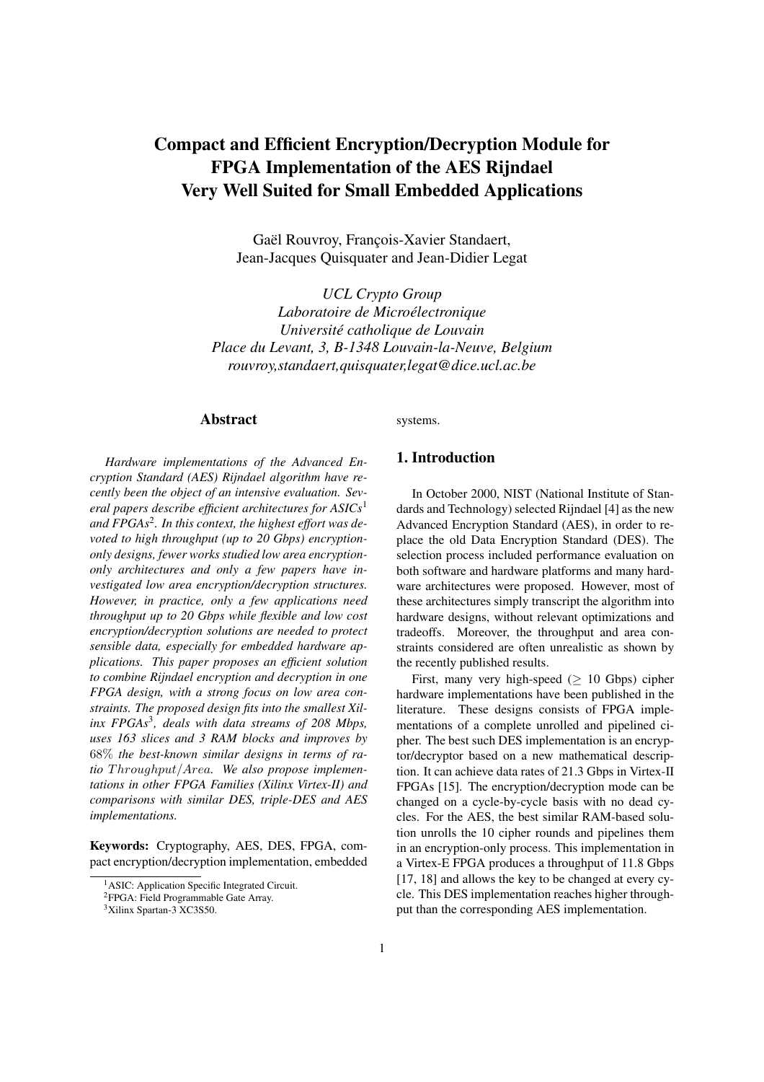# **Compact and Efficient Encryption/Decryption Module for FPGA Implementation of the AES Rijndael Very Well Suited for Small Embedded Applications**

Gaël Rouvroy, François-Xavier Standaert, Jean-Jacques Quisquater and Jean-Didier Legat

*UCL Crypto Group Laboratoire de Microelectr ´ onique Universite´ catholique de Louvain Place du Levant, 3, B-1348 Louvain-la-Neuve, Belgium rouvroy,standaert,quisquater,legat@dice.ucl.ac.be*

# **Abstract**

systems.

*Hardware implementations of the Advanced Encryption Standard (AES) Rijndael algorithm have recently been the object of an intensive evaluation. Several papers describe efficient architectures for ASICs*<sup>1</sup> *and FPGAs*<sup>2</sup> *. In this context, the highest effort was devoted to high throughput (up to 20 Gbps) encryptiononly designs, fewer works studied low area encryptiononly architectures and only a few papers have investigated low area encryption/decryption structures. However, in practice, only a few applications need throughput up to 20 Gbps while flexible and low cost encryption/decryption solutions are needed to protect sensible data, especially for embedded hardware applications. This paper proposes an efficient solution to combine Rijndael encryption and decryption in one FPGA design, with a strong focus on low area constraints. The proposed design fits into the smallest Xilinx FPGAs*<sup>3</sup> *, deals with data streams of 208 Mbps, uses 163 slices and 3 RAM blocks and improves by* 68% *the best-known similar designs in terms of ratio* Throughput/Area*. We also propose implementations in other FPGA Families (Xilinx Virtex-II) and comparisons with similar DES, triple-DES and AES implementations.*

**Keywords:** Cryptography, AES, DES, FPGA, compact encryption/decryption implementation, embedded

#### **1. Introduction**

In October 2000, NIST (National Institute of Standards and Technology) selected Rijndael [4] as the new Advanced Encryption Standard (AES), in order to replace the old Data Encryption Standard (DES). The selection process included performance evaluation on both software and hardware platforms and many hardware architectures were proposed. However, most of these architectures simply transcript the algorithm into hardware designs, without relevant optimizations and tradeoffs. Moreover, the throughput and area constraints considered are often unrealistic as shown by the recently published results.

First, many very high-speed ( $\geq 10$  Gbps) cipher hardware implementations have been published in the literature. These designs consists of FPGA implementations of a complete unrolled and pipelined cipher. The best such DES implementation is an encryptor/decryptor based on a new mathematical description. It can achieve data rates of 21.3 Gbps in Virtex-II FPGAs [15]. The encryption/decryption mode can be changed on a cycle-by-cycle basis with no dead cycles. For the AES, the best similar RAM-based solution unrolls the 10 cipher rounds and pipelines them in an encryption-only process. This implementation in a Virtex-E FPGA produces a throughput of 11.8 Gbps [17, 18] and allows the key to be changed at every cycle. This DES implementation reaches higher throughput than the corresponding AES implementation.

<sup>&</sup>lt;sup>1</sup>ASIC: Application Specific Integrated Circuit.

<sup>2</sup>FPGA: Field Programmable Gate Array.

<sup>&</sup>lt;sup>3</sup>Xilinx Spartan-3 XC3S50.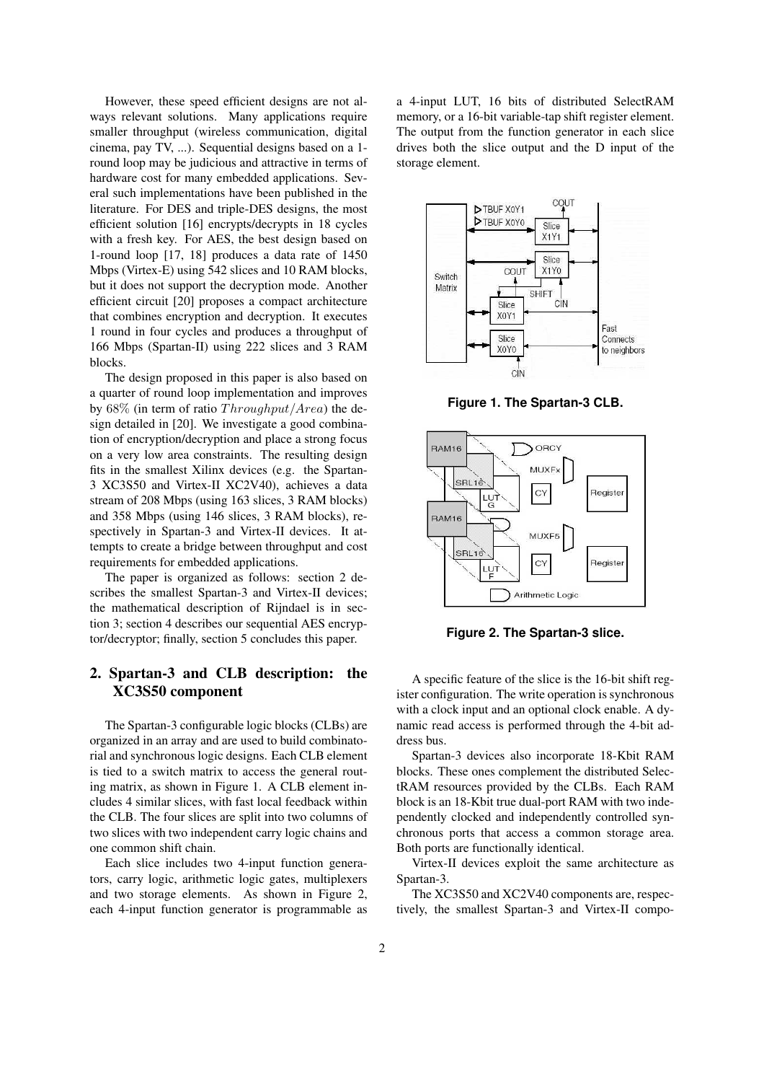However, these speed efficient designs are not always relevant solutions. Many applications require smaller throughput (wireless communication, digital cinema, pay TV, ...). Sequential designs based on a 1 round loop may be judicious and attractive in terms of hardware cost for many embedded applications. Several such implementations have been published in the literature. For DES and triple-DES designs, the most efficient solution [16] encrypts/decrypts in 18 cycles with a fresh key. For AES, the best design based on 1-round loop [17, 18] produces a data rate of 1450 Mbps (Virtex-E) using 542 slices and 10 RAM blocks, but it does not support the decryption mode. Another efficient circuit [20] proposes a compact architecture that combines encryption and decryption. It executes 1 round in four cycles and produces a throughput of 166 Mbps (Spartan-II) using 222 slices and 3 RAM blocks.

The design proposed in this paper is also based on a quarter of round loop implementation and improves by  $68\%$  (in term of ratio  $Throughout/Area$ ) the design detailed in [20]. We investigate a good combination of encryption/decryption and place a strong focus on a very low area constraints. The resulting design fits in the smallest Xilinx devices (e.g. the Spartan-3 XC3S50 and Virtex-II XC2V40), achieves a data stream of 208 Mbps (using 163 slices, 3 RAM blocks) and 358 Mbps (using 146 slices, 3 RAM blocks), respectively in Spartan-3 and Virtex-II devices. It attempts to create a bridge between throughput and cost requirements for embedded applications.

The paper is organized as follows: section 2 describes the smallest Spartan-3 and Virtex-II devices; the mathematical description of Rijndael is in section 3; section 4 describes our sequential AES encryptor/decryptor; finally, section 5 concludes this paper.

# **2. Spartan-3 and CLB description: the XC3S50 component**

The Spartan-3 configurable logic blocks (CLBs) are organized in an array and are used to build combinatorial and synchronous logic designs. Each CLB element is tied to a switch matrix to access the general routing matrix, as shown in Figure 1. A CLB element includes 4 similar slices, with fast local feedback within the CLB. The four slices are split into two columns of two slices with two independent carry logic chains and one common shift chain.

Each slice includes two 4-input function generators, carry logic, arithmetic logic gates, multiplexers and two storage elements. As shown in Figure 2, each 4-input function generator is programmable as a 4-input LUT, 16 bits of distributed SelectRAM memory, or a 16-bit variable-tap shift register element. The output from the function generator in each slice drives both the slice output and the D input of the storage element.



**Figure 1. The Spartan-3 CLB.**



**Figure 2. The Spartan-3 slice.**

A specific feature of the slice is the 16-bit shift register configuration. The write operation is synchronous with a clock input and an optional clock enable. A dynamic read access is performed through the 4-bit address bus.

Spartan-3 devices also incorporate 18-Kbit RAM blocks. These ones complement the distributed SelectRAM resources provided by the CLBs. Each RAM block is an 18-Kbit true dual-port RAM with two independently clocked and independently controlled synchronous ports that access a common storage area. Both ports are functionally identical.

Virtex-II devices exploit the same architecture as Spartan-3.

The XC3S50 and XC2V40 components are, respectively, the smallest Spartan-3 and Virtex-II compo-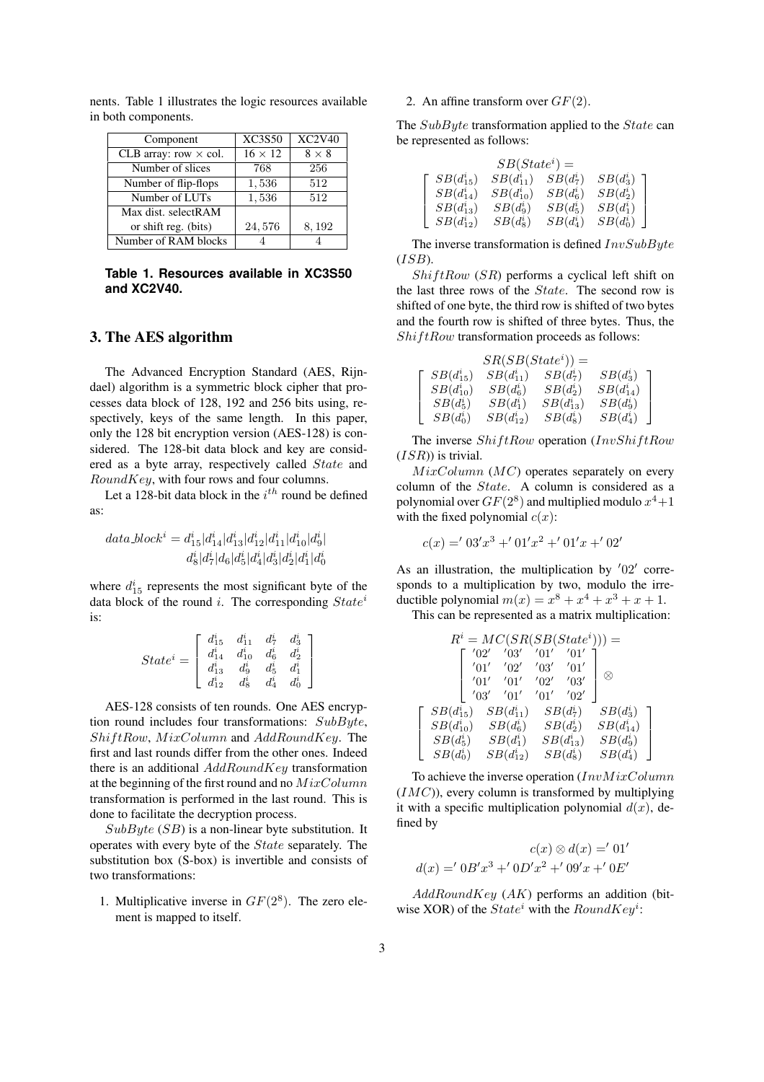| Component                    | <b>XC3S50</b>  | <b>XC2V40</b> |
|------------------------------|----------------|---------------|
| CLB array: row $\times$ col. | $16 \times 12$ | $8 \times 8$  |
| Number of slices             | 768            | 256           |
| Number of flip-flops         | 1,536          | 512           |
| Number of LUTs               | 1,536          | 512           |
| Max dist. selectRAM          |                |               |
| or shift reg. (bits)         | 24,576         | 8,192         |
| Number of RAM blocks         |                |               |

nents. Table 1 illustrates the logic resources available in both components.

**Table 1. Resources available in XC3S50 and XC2V40.**

#### **3. The AES algorithm**

The Advanced Encryption Standard (AES, Rijndael) algorithm is a symmetric block cipher that processes data block of 128, 192 and 256 bits using, respectively, keys of the same length. In this paper, only the 128 bit encryption version (AES-128) is considered. The 128-bit data block and key are considered as a byte array, respectively called State and RoundKey, with four rows and four columns.

Let a 128-bit data block in the  $i^{th}$  round be defined as:

$$
data\_block^{i} = d^{i}_{15}|d^{i}_{14}|d^{i}_{13}|d^{i}_{12}|d^{i}_{11}|d^{i}_{10}|d^{i}_{9}|
$$
  

$$
d^{i}_{8}|d^{i}_{7}|d_{6}|d^{i}_{5}|d^{i}_{4}|d^{i}_{3}|d^{i}_{2}|d^{i}_{1}|d^{i}_{0}|
$$

where  $d_{15}^i$  represents the most significant byte of the data block of the round i. The corresponding  $State^i$ is:

|           |            | $d_{15}^i \quad d_{11}^i \quad d_7^i$                                                                     |                | $\begin{bmatrix} d^i_3\ d^i_2\ d^i_1\ d^i_0 \end{bmatrix}$ |
|-----------|------------|-----------------------------------------------------------------------------------------------------------|----------------|------------------------------------------------------------|
| $State^i$ |            | $\begin{array}{ccc} \bar{d}^{i}_{13} & \bar{d}^{i}_{10} \ \bar{d}^{i}_{13} & \bar{d}^{i}_{9} \end{array}$ | $d^{\imath}_6$ |                                                            |
|           |            |                                                                                                           | $d_5^{\imath}$ |                                                            |
|           | $d_{12}^i$ | $d_8^{\imath}$                                                                                            | $d^{\imath}_4$ |                                                            |

AES-128 consists of ten rounds. One AES encryption round includes four transformations: SubByte, ShiftRow, MixColumn and AddRoundKey. The first and last rounds differ from the other ones. Indeed there is an additional  $AddRoundKey$  transformation at the beginning of the first round and no  $MixColumn$ transformation is performed in the last round. This is done to facilitate the decryption process.

 $SubByte (SB)$  is a non-linear byte substitution. It operates with every byte of the State separately. The substitution box (S-box) is invertible and consists of two transformations:

1. Multiplicative inverse in  $GF(2^8)$ . The zero element is mapped to itself.

2. An affine transform over  $GF(2)$ .

 $\sqrt{ }$  $\overline{1}$  $\overline{1}$ 

The SubByte transformation applied to the State can be represented as follows:

|                | $SB(State^i) =$ |             |             |
|----------------|-----------------|-------------|-------------|
| $SB(d_{15}^i)$ | $SB(d_{11}^i)$  | $SB(d_7^i)$ | $SB(d_3^i)$ |
| $SB(d_{14}^i)$ | $SB(d_{10}^i)$  | $SB(d_6^i)$ | $SB(d_2^i)$ |
| $SB(d_{13}^i)$ | $SB(d_9^i)$     | $SB(d_5^i)$ | $SB(d_1^i)$ |
| $SB(d_{12}^i)$ | $SB(d_8^i)$     | $SB(d_4^i)$ | $SB(d_0^i)$ |

The inverse transformation is defined  $InvSubByte$  $(ISB)$ .

 $ShiftRow$  ( $SR$ ) performs a cyclical left shift on the last three rows of the State. The second row is shifted of one byte, the third row is shifted of two bytes and the fourth row is shifted of three bytes. Thus, the  $ShiftRow$  transformation proceeds as follows:

|                | $SR(SB(State^i)) =$ |                |                |  |
|----------------|---------------------|----------------|----------------|--|
| $SB(d_{15}^i)$ | $SB(d_{11}^i)$      | $SB(d_7^i)$    | $SB(d_3^i)$    |  |
| $SB(d_{10}^i)$ | $SB(d_6^i)$         | $SB(d_2^i)$    | $SB(d_{14}^i)$ |  |
| $SB(d_5^i)$    | $SB(d_1^i)$         | $SB(d_{13}^i)$ | $SB(d_9^i)$    |  |
| $SB(d_0^i)$    | $SB(d_{12}^i)$      | $SB(d_8^i)$    | $SB(d_4^i)$    |  |

The inverse  $ShiftRow$  operation  $(InvShiftRow$  $(ISR)$ ) is trivial.

 $MixColumn(MC)$  operates separately on every column of the State. A column is considered as a polynomial over  $GF(2^8)$  and multiplied modulo  $x^4+1$ with the fixed polynomial  $c(x)$ :

$$
c(x) = 0.03'x^3 + 0.01'x^2 + 0.01'x + 0.02'
$$

As an illustration, the multiplication by  $'02'$  corresponds to a multiplication by two, modulo the irreductible polynomial  $m(x) = x^8 + x^4 + x^3 + x + 1$ .

This can be represented as a matrix multiplication:

|                | $R^i = MC(SR(SB(State^i))) =$ |      |                |                |
|----------------|-------------------------------|------|----------------|----------------|
|                | '03'<br>'02'                  | '01' | '01'           |                |
|                | '02'<br>'01'                  | '03' | '01'           |                |
|                | '01'<br>'01'                  | '02' | '03'           | X              |
|                | '03'<br>'01'                  | '01' | '02'           |                |
| $SB(d_{15}^i)$ | $SB(d_{11}^i)$                |      | $SB(d_7^i)$    | $SB(d_3^i)$    |
| $SB(d_{10}^i)$ | $SB(d_6^i)$                   |      | $SB(d_2^i)$    | $SB(d_{14}^i)$ |
| $SB(d_5^i)$    | $SB(d_1^i)$                   |      | $SB(d_{13}^i)$ | $SB(d_9^i)$    |
| $SB(d_0^i)$    | $SB(d_{12}^i)$                |      | $SB(d_8^i)$    | $SB(d_4^i)$    |

To achieve the inverse operation  $(InvMixColumn$  $(IMC)$ ), every column is transformed by multiplying it with a specific multiplication polynomial  $d(x)$ , defined by

$$
c(x) \otimes d(x) = '01'
$$
  

$$
d(x) = '0B'x^3 + '0D'x^2 + '09'x + '0E'
$$

 $AddRoundKey (AK)$  performs an addition (bitwise XOR) of the  $State^i$  with the  $RoundKey^i$ :

 $\sqrt{ }$  $\overline{1}$  $\overline{1}$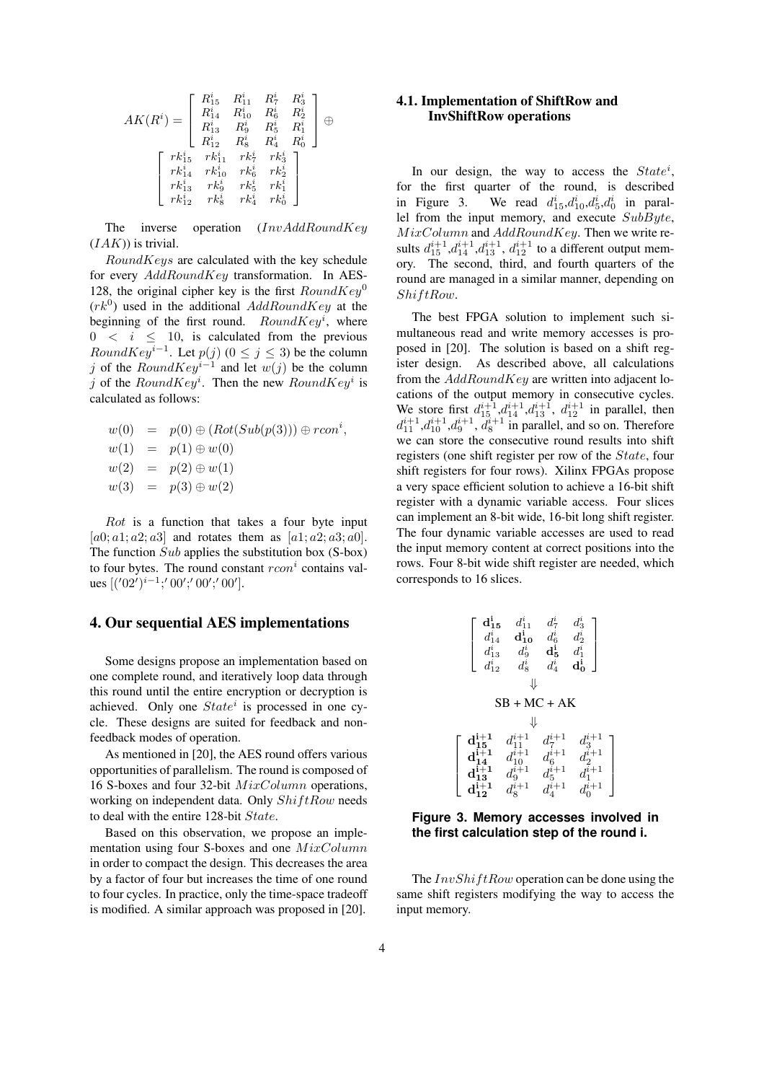$$
AK(R^i)=\left[\begin{array}{cccc} R^i_{15} & R^i_{11} & R^i_7 & R^i_3 \\ R^i_{14} & R^i_{10} & R^i_6 & R^i_2 \\ R^i_{13} & R^i_9 & R^i_5 & R^i_1 \\ R^i_{12} & R^i_8 & R^i_4 & R^i_0 \end{array}\right]\oplus \left[\begin{array}{cccc} r^i_{15} & r^i_{11} & r^i_{2} & r^i_{2} \\ r^i_{12} & r^i_{11} & r^i_{2} & r^i_{2} \\ r^i_{14} & r^i_{10} & r^i_{6} & r^i_{2} \\ r^i_{13} & r^i_{9} & r^i_{6} & r^i_{1} \\ r^i_{12} & r^i_{8} & r^i_{8} & r^i_{8} \end{array}\right]
$$

The inverse operation (InvAddRoundKey  $(IAK)$ ) is trivial.

RoundKeys are calculated with the key schedule for every  $AddRoundKey$  transformation. In AES-128, the original cipher key is the first  $RoundKey^0$  $(rk^0)$  used in the additional  $AddRoundKey$  at the beginning of the first round.  $RoundKey<sup>i</sup>$ , where  $0 \leq i \leq 10$ , is calculated from the previous RoundKey<sup>i–1</sup>. Let  $p(j)$  ( $0 \le j \le 3$ ) be the column j of the  $RoundKey^{i-1}$  and let  $w(j)$  be the column j of the  $RoundKey<sup>i</sup>$ . Then the new  $RoundKey<sup>i</sup>$  is calculated as follows:

$$
w(0) = p(0) \oplus (Rot(Sub(p(3))) \oplus rconi,\n w(1) = p(1) \oplus w(0)\n w(2) = p(2) \oplus w(1)\n w(3) = p(3) \oplus w(2)
$$

Rot is a function that takes a four byte input [a0; a1; a2; a3] and rotates them as [a1; a2; a3; a0]. The function  $Sub$  applies the substitution box (S-box) to four bytes. The round constant  $rcon^i$  contains values  $[(102^i)^{i-1}; 00'; 00'; 00']$ .

#### **4. Our sequential AES implementations**

Some designs propose an implementation based on one complete round, and iteratively loop data through this round until the entire encryption or decryption is achieved. Only one  $State<sup>i</sup>$  is processed in one cycle. These designs are suited for feedback and nonfeedback modes of operation.

As mentioned in [20], the AES round offers various opportunities of parallelism. The round is composed of 16 S-boxes and four 32-bit  $MixColumn$  operations, working on independent data. Only  $ShiftRow$  needs to deal with the entire 128-bit State.

Based on this observation, we propose an implementation using four S-boxes and one MixColumn in order to compact the design. This decreases the area by a factor of four but increases the time of one round to four cycles. In practice, only the time-space tradeoff is modified. A similar approach was proposed in [20].

### **4.1. Implementation of ShiftRow and InvShiftRow operations**

In our design, the way to access the  $State^i$ , for the first quarter of the round, is described in Figure 3. We read  $d_{15}^i, d_{10}^i, d_5^i, d_0^i$  in parallel from the input memory, and execute  $SubByte$ ,  $MixColumn$  and  $AddRoundKey$ . Then we write results  $d_{15}^{i+1}, d_{14}^{i+1}, d_{13}^{i+1}, d_{12}^{i+1}$  to a different output memory. The second, third, and fourth quarters of the round are managed in a similar manner, depending on ShiftRow.

The best FPGA solution to implement such simultaneous read and write memory accesses is proposed in [20]. The solution is based on a shift register design. As described above, all calculations from the  $AddRoundKey$  are written into adjacent locations of the output memory in consecutive cycles. We store first  $d_{15}^{i+1}, d_{14}^{i+1}, d_{13}^{i+1}, d_{12}^{i+1}$  in parallel, then  $d_{11}^{i+1}, d_{10}^{i+1}, d_{9}^{i+1}, d_{8}^{i+1}$  in parallel, and so on. Therefore we can store the consecutive round results into shift registers (one shift register per row of the State, four shift registers for four rows). Xilinx FPGAs propose a very space efficient solution to achieve a 16-bit shift register with a dynamic variable access. Four slices can implement an 8-bit wide, 16-bit long shift register. The four dynamic variable accesses are used to read the input memory content at correct positions into the rows. Four 8-bit wide shift register are needed, which corresponds to 16 slices.



**Figure 3. Memory accesses involved in the first calculation step of the round i.**

The  $InvShiftRow$  operation can be done using the same shift registers modifying the way to access the input memory.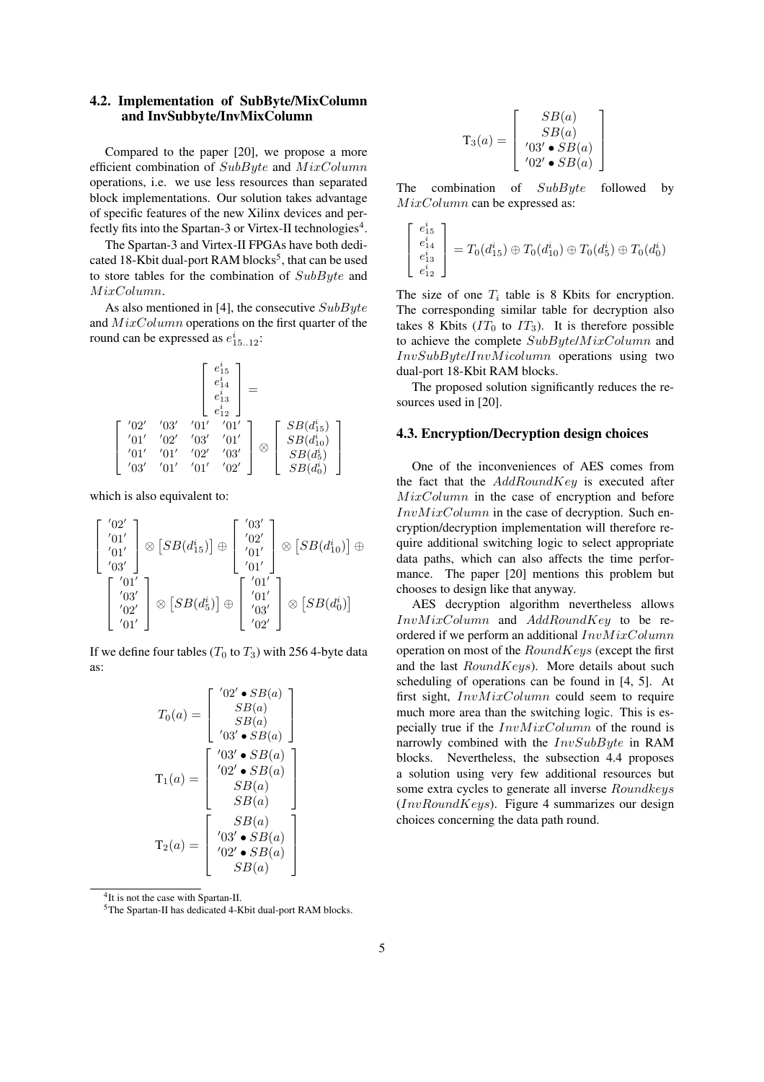## **4.2. Implementation of SubByte/MixColumn and InvSubbyte/InvMixColumn**

Compared to the paper [20], we propose a more efficient combination of SubByte and MixColumn operations, i.e. we use less resources than separated block implementations. Our solution takes advantage of specific features of the new Xilinx devices and perfectly fits into the Spartan-3 or Virtex-II technologies<sup>4</sup>.

The Spartan-3 and Virtex-II FPGAs have both dedicated 18-Kbit dual-port RAM blocks<sup>5</sup>, that can be used to store tables for the combination of SubByte and MixColumn.

As also mentioned in [4], the consecutive  $SubByte$ and MixColumn operations on the first quarter of the round can be expressed as  $e_{15..12}^i$ :

$$
\begin{bmatrix} e_{15}^{i} \\ e_{14}^{i} \\ e_{13}^{i} \\ \end{bmatrix} = \\ \begin{bmatrix} '02' & '03' & '01' & '01' \\ '01' & '02' & '03' & '01' \\ '01' & '01' & '02' & '03' \\ '03' & '01' & '01' & '02' \\ \end{bmatrix} \otimes \begin{bmatrix} SB(d_{15}^{i}) \\ SB(d_{10}^{i}) \\ SB(d_{5}^{i}) \\ SB(d_{6}^{i}) \\ \end{bmatrix}
$$

which is also equivalent to:

$$
\begin{bmatrix} '02' \\ '01' \\ '01' \\ '03' \\ '03' \\ '02' \\ '01' \\ '01' \\ '01' \\ '01' \\ '01' \\ \end{bmatrix} \otimes \left[ SB(d_{5}^{i}) \right] \oplus \begin{bmatrix} '03' \\ '02' \\ '01' \\ '01' \\ '03' \\ '03' \\ '02' \\ '02' \\ '02' \\ \end{bmatrix} \otimes \left[ SB(d_{0}^{i}) \right] \oplus
$$

If we define four tables ( $T_0$  to  $T_3$ ) with 256 4-byte data as:

$$
T_0(a) = \begin{bmatrix} '02' \bullet SB(a) \\ SB(a) \\ SB(a) \\ '03' \bullet SB(a) \\ '03' \bullet SB(a) \\ '02' \bullet SB(a) \\ SB(a) \\ SB(a) \\ \end{bmatrix}
$$

$$
T_1(a) = \begin{bmatrix} '03' \bullet SB(a) \\ '02' \bullet SB(a) \\ SB(a) \\ '03' \bullet SB(a) \\ '02' \bullet SB(a) \\ '02' \bullet SB(a) \\ SB(a) \end{bmatrix}
$$

<sup>4</sup>It is not the case with Spartan-II.

<sup>5</sup>The Spartan-II has dedicated 4-Kbit dual-port RAM blocks.

$$
\mathbf{T}_3(a) = \left[ \begin{array}{c} SB(a) \\ SB(a) \\ \prime 03' \bullet SB(a) \\ \prime 02' \bullet SB(a) \end{array} \right]
$$

The combination of  $SubByte$  followed by MixColumn can be expressed as:

 $\lceil$  $\overline{1}$  $\overline{1}$ 

$$
\begin{bmatrix} e_{15}^i \\ e_{14}^i \\ e_{13}^i \\ e_{12}^i \end{bmatrix} = T_0(d_{15}^i) \oplus T_0(d_{10}^i) \oplus T_0(d_5^i) \oplus T_0(d_0^i)
$$

The size of one  $T_i$  table is 8 Kbits for encryption. The corresponding similar table for decryption also takes 8 Kbits  $(IT_0$  to  $IT_3)$ . It is therefore possible to achieve the complete  $SubByte/MixColumn$  and InvSubByte/InvMicolumn operations using two dual-port 18-Kbit RAM blocks.

The proposed solution significantly reduces the resources used in [20].

#### **4.3. Encryption/Decryption design choices**

One of the inconveniences of AES comes from the fact that the  $AddRoundKey$  is executed after  $MixColumn$  in the case of encryption and before  $InvMixColumn$  in the case of decryption. Such encryption/decryption implementation will therefore require additional switching logic to select appropriate data paths, which can also affects the time performance. The paper [20] mentions this problem but chooses to design like that anyway.

AES decryption algorithm nevertheless allows  $InvMixColumn$  and  $AddRoundKey$  to be reordered if we perform an additional  $InvMixColumn$ operation on most of the  $RoundKeys$  (except the first and the last  $RoundKeys$ ). More details about such scheduling of operations can be found in [4, 5]. At first sight, InvMixColumn could seem to require much more area than the switching logic. This is especially true if the  $InvMixColumn$  of the round is narrowly combined with the  $InvSubByte$  in RAM blocks. Nevertheless, the subsection 4.4 proposes a solution using very few additional resources but some extra cycles to generate all inverse *Roundkeys*  $(InvRoundKeys)$ . Figure 4 summarizes our design choices concerning the data path round.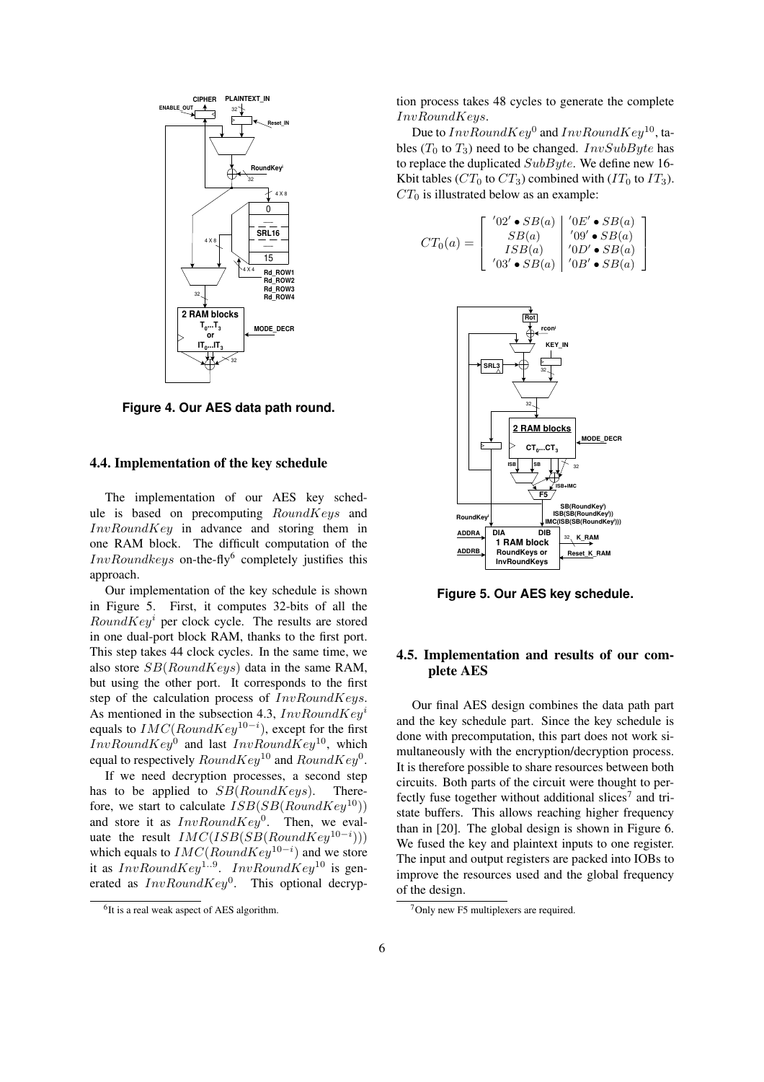

**Figure 4. Our AES data path round.**

## **4.4. Implementation of the key schedule**

The implementation of our AES key schedule is based on precomputing  $RoundKeys$  and  $InvRoundKey$  in advance and storing them in one RAM block. The difficult computation of the  $InvRoundkeys$  on-the-fly<sup>6</sup> completely justifies this approach.

Our implementation of the key schedule is shown in Figure 5. First, it computes 32-bits of all the  $RoundKey<sup>i</sup>$  per clock cycle. The results are stored in one dual-port block RAM, thanks to the first port. This step takes 44 clock cycles. In the same time, we also store  $SB(RoundKeys)$  data in the same RAM, but using the other port. It corresponds to the first step of the calculation process of  $InvRoundKeys$ . As mentioned in the subsection 4.3,  $InvRoundKey<sup>i</sup>$ equals to  $IMC(RoundKey^{10-i})$ , except for the first  $InvRoundKey^0$  and last  $InvRoundKey^{10}$ , which equal to respectively  $RoundKey^{10}$  and  $RoundKey^{0}$ .

If we need decryption processes, a second step has to be applied to  $SB(RoundKeys)$ . Therefore, we start to calculate  $ISB(SB(RoundKey^{10}))$ and store it as  $InvRoundKey^0$ . Then, we evaluate the result  $IMC(ISB(SB(RoundKey^{10-i})))$ which equals to  $IMC(RoundKey^{10-i})$  and we store it as  $InvRoundKey^{1..9}$ .  $InvRoundKey^{10}$  is generated as  $InvRoundKey^0$ . This optional decryption process takes 48 cycles to generate the complete InvRoundKeys.

Due to  $InvRoundKey^0$  and  $InvRoundKey^{10}$ , tables ( $T_0$  to  $T_3$ ) need to be changed. *InvSubByte* has to replace the duplicated  $SubByte$ . We define new 16-Kbit tables ( $CT_0$  to  $CT_3$ ) combined with ( $IT_0$  to  $IT_3$ ).  $CT_0$  is illustrated below as an example:

$$
CT_0(a) = \begin{bmatrix} '02' \bullet SB(a) & '0E' \bullet SB(a) \\ SB(a) & '09' \bullet SB(a) \\ ISB(a) & '0D' \bullet SB(a) \\ '03' \bullet SB(a) & '0B' \bullet SB(a) \end{bmatrix}
$$



**Figure 5. Our AES key schedule.**

# **4.5. Implementation and results of our complete AES**

Our final AES design combines the data path part and the key schedule part. Since the key schedule is done with precomputation, this part does not work simultaneously with the encryption/decryption process. It is therefore possible to share resources between both circuits. Both parts of the circuit were thought to perfectly fuse together without additional slices<sup>7</sup> and tristate buffers. This allows reaching higher frequency than in [20]. The global design is shown in Figure 6. We fused the key and plaintext inputs to one register. The input and output registers are packed into IOBs to improve the resources used and the global frequency of the design.

<sup>&</sup>lt;sup>6</sup>It is a real weak aspect of AES algorithm.

 $7$ Only new F5 multiplexers are required.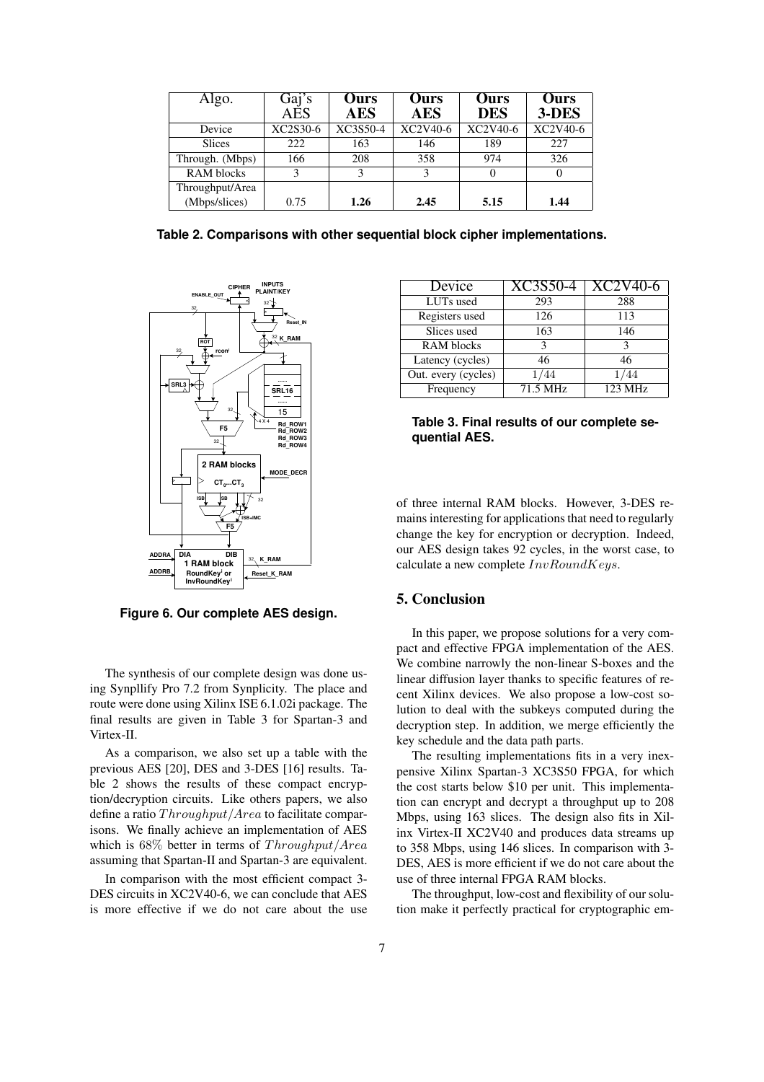| Algo.           | Gaj's<br>AES           | <b>Ours</b><br><b>AES</b> | <b>Ours</b><br><b>AES</b> | <b>Ours</b><br><b>DES</b> | Ours<br>3-DES |
|-----------------|------------------------|---------------------------|---------------------------|---------------------------|---------------|
| Device          | XC2S30-6               | XC3S50-4                  | XC2V40-6                  | XC2V40-6                  | XC2V40-6      |
| <b>Slices</b>   | 222                    | 163                       | 146                       | 189                       | 227           |
| Through. (Mbps) | 166                    | 208                       | 358                       | 974                       | 326           |
| RAM blocks      | $\mathbf{\mathcal{R}}$ | 3                         | 3                         |                           |               |
| Throughput/Area |                        |                           |                           |                           |               |
| (Mbps/slices)   | 0.75                   | 1.26                      | 2.45                      | 5.15                      | 1.44          |

**Table 2. Comparisons with other sequential block cipher implementations.**



**Figure 6. Our complete AES design.**

The synthesis of our complete design was done using Synpllify Pro 7.2 from Synplicity. The place and route were done using Xilinx ISE 6.1.02i package. The final results are given in Table 3 for Spartan-3 and Virtex-II.

As a comparison, we also set up a table with the previous AES [20], DES and 3-DES [16] results. Table 2 shows the results of these compact encryption/decryption circuits. Like others papers, we also define a ratio Throughput/Area to facilitate comparisons. We finally achieve an implementation of AES which is 68% better in terms of Throughput/Area assuming that Spartan-II and Spartan-3 are equivalent.

In comparison with the most efficient compact 3- DES circuits in XC2V40-6, we can conclude that AES is more effective if we do not care about the use

| Device              | XC3S50-4 | $XC2V40-t$ |
|---------------------|----------|------------|
| LUTs used           | 293      | 288        |
| Registers used      | 126      | 113        |
| Slices used         | 163      | 146        |
| <b>RAM</b> blocks   | ٩        |            |
| Latency (cycles)    | 46       | 46         |
| Out. every (cycles) | /44      | '44        |
| Frequency           | 71.5 MHz | 123 MHz    |

**Table 3. Final results of our complete sequential AES.**

of three internal RAM blocks. However, 3-DES remains interesting for applications that need to regularly change the key for encryption or decryption. Indeed, our AES design takes 92 cycles, in the worst case, to calculate a new complete  $InvRoundKeys$ .

# **5. Conclusion**

In this paper, we propose solutions for a very compact and effective FPGA implementation of the AES. We combine narrowly the non-linear S-boxes and the linear diffusion layer thanks to specific features of recent Xilinx devices. We also propose a low-cost solution to deal with the subkeys computed during the decryption step. In addition, we merge efficiently the key schedule and the data path parts.

The resulting implementations fits in a very inexpensive Xilinx Spartan-3 XC3S50 FPGA, for which the cost starts below \$10 per unit. This implementation can encrypt and decrypt a throughput up to 208 Mbps, using 163 slices. The design also fits in Xilinx Virtex-II XC2V40 and produces data streams up to 358 Mbps, using 146 slices. In comparison with 3- DES, AES is more efficient if we do not care about the use of three internal FPGA RAM blocks.

The throughput, low-cost and flexibility of our solution make it perfectly practical for cryptographic em